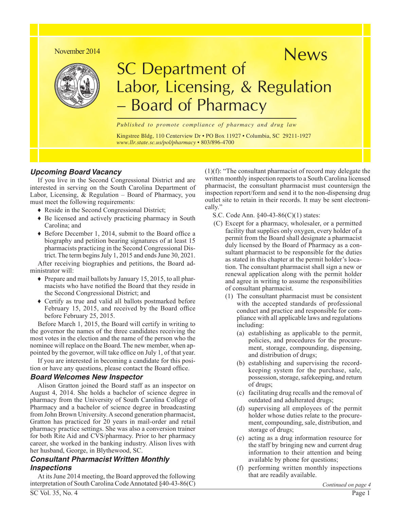### November 2014



# News SC Department of Board of Pharmacy Labor, Licensing, & Regulation

*Published to promote compliance of pharmacy and drug law*

Kingstree Bldg, 110 Centerview Dr • PO Box 11927 • Columbia, SC 29211-1927 *[www.llr.state.sc.us/pol/pharmacy](http://www.llr.state.sc.us/pol/pharmacy)* • 803/896-4700

### *Upcoming Board Vacancy*

If you live in the Second Congressional District and are interested in serving on the South Carolina Department of Labor, Licensing, & Regulation – Board of Pharmacy, you must meet the following requirements:

- ♦ Reside in the Second Congressional District;
- ♦ Be licensed and actively practicing pharmacy in South Carolina; and
- ♦ Before December 1, 2014, submit to the Board office a biography and petition bearing signatures of at least 15 pharmacists practicing in the Second Congressional District. The term begins July 1, 2015 and ends June 30, 2021.

After receiving biographies and petitions, the Board administrator will:

- ♦ Prepare and mail ballots by January 15, 2015, to all pharmacists who have notified the Board that they reside in the Second Congressional District; and
- ♦ Certify as true and valid all ballots postmarked before February 15, 2015, and received by the Board office before February 25, 2015.

Before March 1, 2015, the Board will certify in writing to the governor the names of the three candidates receiving the most votes in the election and the name of the person who the nominee will replace on the Board. The new member, when appointed by the governor, will take office on July 1, of that year.

If you are interested in becoming a candidate for this position or have any questions, please contact the Board office.

### *Board Welcomes New Inspector*

Alison Gratton joined the Board staff as an inspector on August 4, 2014. She holds a bachelor of science degree in pharmacy from the University of South Carolina College of Pharmacy and a bachelor of science degree in broadcasting from John Brown University. A second generation pharmacist, Gratton has practiced for 20 years in mail-order and retail pharmacy practice settings. She was also a conversion trainer for both Rite Aid and CVS/pharmacy. Prior to her pharmacy career, she worked in the banking industry. Alison lives with her husband, George, in Blythewood, SC.

### *Consultant Pharmacist Written Monthly Inspections*

At its June 2014 meeting, the Board approved the following interpretation of South Carolina Code Annotated §40-43-86(C)

(1)(f): "The consultant pharmacist of record may delegate the written monthly inspection reports to a South Carolina licensed pharmacist, the consultant pharmacist must countersign the inspection report/form and send it to the non-dispensing drug outlet site to retain in their records. It may be sent electronically."

- S.C. Code Ann. §40-43-86(C)(1) states:
- (C) Except for a pharmacy, wholesaler, or a permitted facility that supplies only oxygen, every holder of a permit from the Board shall designate a pharmacist duly licensed by the Board of Pharmacy as a consultant pharmacist to be responsible for the duties as stated in this chapter at the permit holder's location. The consultant pharmacist shall sign a new or renewal application along with the permit holder and agree in writing to assume the responsibilities of consultant pharmacist.
	- (1) The consultant pharmacist must be consistent with the accepted standards of professional conduct and practice and responsible for compliance with all applicable laws and regulations including:
		- (a) establishing as applicable to the permit, policies, and procedures for the procurement, storage, compounding, dispensing, and distribution of drugs;
		- (b) establishing and supervising the recordkeeping system for the purchase, sale, possession, storage, safekeeping, and return of drugs;
		- (c) facilitating drug recalls and the removal of outdated and adulterated drugs;
		- (d) supervising all employees of the permit holder whose duties relate to the procurement, compounding, sale, distribution, and storage of drugs;
		- (e) acting as a drug information resource for the staff by bringing new and current drug information to their attention and being available by phone for questions;
		- (f) performing written monthly inspections that are readily available.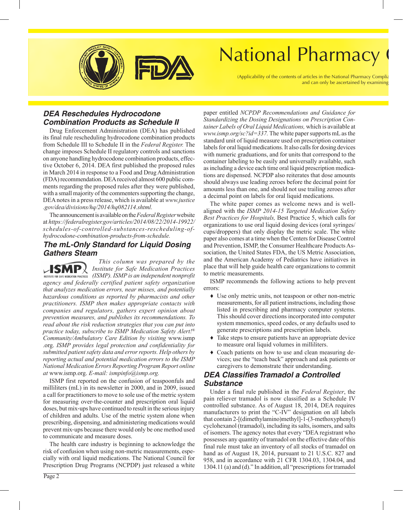

# National Pharmacy

(Applicability of the contents of articles in the National Pharmacy Comp and can only be ascertained by examini

# *DEA Reschedules Hydrocodone Combination Products as Schedule II*

Drug Enforcement Administration (DEA) has published its final rule rescheduling hydrocodone combination products from Schedule III to Schedule II in the *Federal Register.* The change imposes Schedule II regulatory controls and sanctions on anyone handling hydrocodone combination products, effective October 6, 2014. DEA first published the proposed rules in March 2014 in response to a Food and Drug Administration (FDA) recommendation. DEA received almost 600 public comments regarding the proposed rules after they were published, with a small majority of the commenters supporting the change, DEA notes in a press release, which is available at *[www.justice](http://www.justice.gov/dea/divisions/hq/2014/hq082114.shtml) [.gov/dea/divisions/hq/2014/hq082114.shtml.](http://www.justice.gov/dea/divisions/hq/2014/hq082114.shtml)* 

The announcement is available on the *Federal Register* website at *[https://federalregister.gov/articles/2014/08/22/2014-19922/](https://www.federalregister.gov/articles/2014/08/22/2014-19922/schedules-of-controlled-substances-rescheduling-of-hydrocodone-combination-products-from-schedule) [schedules-of-controlled-substances-rescheduling-of](https://www.federalregister.gov/articles/2014/08/22/2014-19922/schedules-of-controlled-substances-rescheduling-of-hydrocodone-combination-products-from-schedule)[hydrocodone-combination-products-from-schedule.](https://www.federalregister.gov/articles/2014/08/22/2014-19922/schedules-of-controlled-substances-rescheduling-of-hydrocodone-combination-products-from-schedule)*

### *The mL-Only Standard for Liquid Dosing Gathers Steam*

*This column was prepared by the*   $\mathcal{L}$ **SMP** $\lambda$ *Institute for Safe Medication Practices*  **INSTITUTE FOR SAFE MEDICATION PRACTICES** (ISMP). ISMP is an independent nonprofit *agency and federally certified patient safety organization that analyzes medication errors, near misses, and potentially hazardous conditions as reported by pharmacists and other practitioners. ISMP then makes appropriate contacts with companies and regulators, gathers expert opinion about prevention measures, and publishes its recommendations. To read about the risk reduction strategies that you can put into practice today, subscribe to ISMP Medication Safety Alert!® Community/Ambulatory Care Edition by visiting* [www.ismp](www.ismp.org) [.org.](www.ismp.org) *ISMP provides legal protection and confidentiality for submitted patient safety data and error reports. Help others by reporting actual and potential medication errors to the ISMP National Medication Errors Reporting Program Report online at* [www.ismp.org.](http://www.ismp.org) *E-mail[: ismpinfo@ismp.org.](mailto:ismpinfo@ismp.org)*

ISMP first reported on the confusion of teaspoonfuls and milliliters (mL) in its newsletter in 2000, and in 2009, issued a call for practitioners to move to sole use of the metric system for measuring over-the-counter and prescription oral liquid doses, but mix‐ups have continued to result in the serious injury of children and adults. Use of the metric system alone when prescribing, dispensing, and administering medications would prevent mix‐ups because there would only be one method used to communicate and measure doses.

The health care industry is beginning to acknowledge the risk of confusion when using non‐metric measurements, especially with oral liquid medications. The National Council for Prescription Drug Programs (NCPDP) just released a white paper entitled *NCPDP Recommendations and Guidance for Standardizing the Dosing Designations on Prescription Container Labels of Oral Liquid Medications,* which is available at *[www.ismp.org/sc?id=337.](http://www.ismp.org/sc?id=337)* The white paper supports mL as the standard unit of liquid measure used on prescription container labels for oral liquid medications. It also calls for dosing devices with numeric graduations, and for units that correspond to the container labeling to be easily and universally available, such as including a device each time oral liquid prescription medications are dispensed. NCPDP also reiterates that dose amounts should always use leading zeroes before the decimal point for amounts less than one, and should not use trailing zeroes after a decimal point on labels for oral liquid medications.

The white paper comes as welcome news and is wellaligned with the *ISMP 2014-15 Targeted Medication Safety Best Practices for Hospitals,* Best Practice 5, which calls for organizations to use oral liquid dosing devices (oral syringes/ cups/droppers) that only display the metric scale. The white paper also comes at a time when the Centers for Disease Control and Prevention, ISMP, the Consumer Healthcare Products Association, the United States FDA, the US Metric Association, and the American Academy of Pediatrics have initiatives in place that will help guide health care organizations to commit to metric measurements.

ISMP recommends the following actions to help prevent errors:

- ♦ Use only metric units, not teaspoon or other non-metric measurements, for all patient instructions, including those listed in prescribing and pharmacy computer systems. This should cover directions incorporated into computer system mnemonics, speed codes, or any defaults used to generate prescriptions and prescription labels.
- ♦ Take steps to ensure patients have an appropriate device to measure oral liquid volumes in milliliters.
- ♦ Coach patients on how to use and clean measuring devices; use the "teach back" approach and ask patients or caregivers to demonstrate their understanding.

# *DEA Classifies Tramadol a Controlled Substance*

Under a final rule published in the *Federal Register*, the pain reliever tramadol is now classified as a Schedule IV controlled substance. As of August 18, 2014, DEA requires manufacturers to print the "C-IV" designation on all labels that contain 2-[(dimethylamino)methyl]-1-(3-methoxyphenyl) cyclohexanol (tramadol), including its salts, isomers, and salts of isomers. The agency notes that every "DEA registrant who possesses any quantity of tramadol on the effective date of this final rule must take an inventory of all stocks of tramadol on hand as of August 18, 2014, pursuant to 21 U.S.C. 827 and 958, and in accordance with 21 CFR 1304.03, 1304.04, and 1304.11 (a) and (d)." In addition, all "prescriptions for tramadol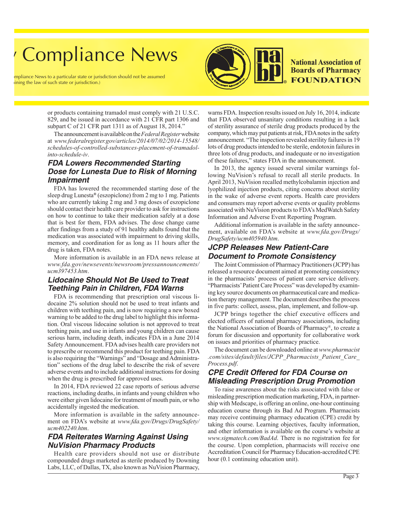# **Compliance News**

bliance News to a particular state or jurisdiction should not be assumed ng the law of such state or jurisdiction.)



**National Association of Boards of Pharmacy FOUNDATION** 

or products containing tramadol must comply with 21 U.S.C. 829, and be issued in accordance with 21 CFR part 1306 and subpart C of 21 CFR part 1311 as of August 18, 2014."

The announcement is available on the *Federal Register* website at *[www.federalregister.gov/articles/2014/07/02/2014-15548/](https://www.federalregister.gov/articles/2014/07/02/2014-15548/schedules-of-controlled-substances-placement-of-tramadol-into-schedule-iv) [schedules-of-controlled-substances-placement-of-tramadol](https://www.federalregister.gov/articles/2014/07/02/2014-15548/schedules-of-controlled-substances-placement-of-tramadol-into-schedule-iv)[into-schedule-iv](https://www.federalregister.gov/articles/2014/07/02/2014-15548/schedules-of-controlled-substances-placement-of-tramadol-into-schedule-iv)*.

# *FDA Lowers Recommended Starting Dose for Lunesta Due to Risk of Morning Impairment*

FDA has lowered the recommended starting dose of the sleep drug Lunesta**®** (eszopiclone) from 2 mg to 1 mg. Patients who are currently taking 2 mg and 3 mg doses of eszopiclone should contact their health care provider to ask for instructions on how to continue to take their medication safely at a dose that is best for them, FDA advises. The dose change came after findings from a study of 91 healthy adults found that the medication was associated with impairment to driving skills, memory, and coordination for as long as 11 hours after the drug is taken, FDA notes.

More information is available in an FDA news release at *[www.fda.gov/newsevents/newsroom/pressannouncements/](http://www.fda.gov/%20newsevents/newsroom/pressannouncements/ucm397453.htm) [ucm397453.htm](http://www.fda.gov/%20newsevents/newsroom/pressannouncements/ucm397453.htm)*.

# *Lidocaine Should Not Be Used to Treat Teething Pain in Children, FDA Warns*

FDA is recommending that prescription oral viscous lidocaine 2% solution should not be used to treat infants and children with teething pain, and is now requiring a new boxed warning to be added to the drug label to highlight this information. Oral viscous lidocaine solution is not approved to treat teething pain, and use in infants and young children can cause serious harm, including death, indicates FDA in a June 2014 Safety Announcement. FDA advises health care providers not to prescribe or recommend this product for teething pain. FDA is also requiring the "Warnings" and "Dosage and Administration" sections of the drug label to describe the risk of severe adverse events and to include additional instructions for dosing when the drug is prescribed for approved uses.

In 2014, FDA reviewed 22 case reports of serious adverse reactions, including deaths, in infants and young children who were either given lidocaine for treatment of mouth pain, or who accidentally ingested the medication.

More information is available in the safety announcement on FDA's website at *[www.fda.gov/Drugs/DrugSafety/](http://www.fda.gov/Drugs/DrugSafety/ucm402240.htm) [ucm402240.htm](http://www.fda.gov/Drugs/DrugSafety/ucm402240.htm)*.

# *FDA Reiterates Warning Against Using NuVision Pharmacy Products*

Health care providers should not use or distribute compounded drugs marketed as sterile produced by Downing Labs, LLC, of Dallas, TX, also known as NuVision Pharmacy,

warns FDA. Inspection results issued on July 16, 2014, indicate that FDA observed unsanitary conditions resulting in a lack of sterility assurance of sterile drug products produced by the company, which may put patients at risk, FDA notes in the safety announcement. "The inspection revealed sterility failures in 19 lots of drug products intended to be sterile, endotoxin failures in three lots of drug products, and inadequate or no investigation of these failures," states FDA in the announcement.

In 2013, the agency issued several similar warnings following NuVision's refusal to recall all sterile products. In April 2013, NuVision recalled methylcobalamin injection and lyophilized injection products, citing concerns about sterility in the wake of adverse event reports. Health care providers and consumers may report adverse events or quality problems associated with NuVision products to FDA's MedWatch Safety Information and Adverse Event Reporting Program.

Additional information is available in the safety announcement, available on FDA's website at *[www.fda.gov/Drugs/](http://www.fda.gov/Drugs/DrugSafety/ucm405940.htm) [DrugSafety/ucm405940.htm](http://www.fda.gov/Drugs/DrugSafety/ucm405940.htm)*.

### *JCPP Releases New Patient-Care Document to Promote Consistency*

The Joint Commission of Pharmacy Practitioners (JCPP) has released a resource document aimed at promoting consistency in the pharmacists' process of patient care service delivery. "Pharmacists' Patient Care Process" was developed by examining key source documents on pharmaceutical care and medication therapy management. The document describes the process in five parts: collect, assess, plan, implement, and follow-up.

JCPP brings together the chief executive officers and elected officers of national pharmacy associations, including the National Association of Boards of Pharmacy®, to create a forum for discussion and opportunity for collaborative work on issues and priorities of pharmacy practice.

The document can be downloaded online at *[www.pharmacist](http://www.pharmacist.com/sites/default/files/JCPP_Pharmacists_Patient_Care_Process.pdf) [.com/sites/default/files/JCPP\\_Pharmacists\\_Patient\\_Care\\_](http://www.pharmacist.com/sites/default/files/JCPP_Pharmacists_Patient_Care_Process.pdf) [Process.pdf](http://www.pharmacist.com/sites/default/files/JCPP_Pharmacists_Patient_Care_Process.pdf)*.

### *CPE Credit Offered for FDA Course on Misleading Prescription Drug Promotion*

To raise awareness about the risks associated with false or misleading prescription medication marketing, FDA, in partnership with Medscape, is offering an online, one-hour continuing education course through its Bad Ad Program. Pharmacists may receive continuing pharmacy education (CPE) credit by taking this course. Learning objectives, faculty information, and other information is available on the course's website at *[www.sigmatech.com/BadAd](http://www.sigmatech.com/BadAd)*. There is no registration fee for the course. Upon completion, pharmacists will receive one Accreditation Council for Pharmacy Education-accredited CPE hour (0.1 continuing education unit).